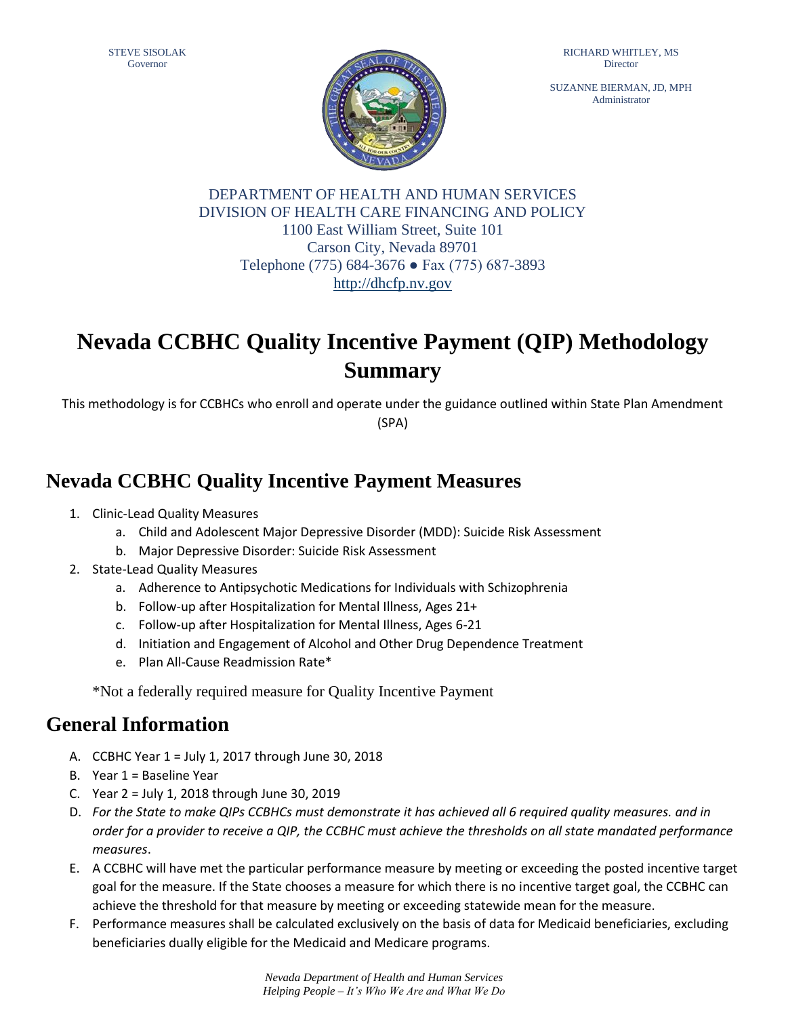SUZANNE BIERMAN, JD, MPH Administrator



DEPARTMENT OF HEALTH AND HUMAN SERVICES DIVISION OF HEALTH CARE FINANCING AND POLICY 1100 East William Street, Suite 101 Carson City, Nevada 89701 Telephone (775) 684-3676 ● Fax (775) 687-3893 [http://dhcfp.nv.gov](http://dhcfp.nv.gov/)

# **Nevada CCBHC Quality Incentive Payment (QIP) Methodology Summary**

This methodology is for CCBHCs who enroll and operate under the guidance outlined within State Plan Amendment (SPA)

## **Nevada CCBHC Quality Incentive Payment Measures**

- 1. Clinic-Lead Quality Measures
	- a. Child and Adolescent Major Depressive Disorder (MDD): Suicide Risk Assessment
	- b. Major Depressive Disorder: Suicide Risk Assessment
- 2. State-Lead Quality Measures
	- a. Adherence to Antipsychotic Medications for Individuals with Schizophrenia
	- b. Follow-up after Hospitalization for Mental Illness, Ages 21+
	- c. Follow-up after Hospitalization for Mental Illness, Ages 6-21
	- d. Initiation and Engagement of Alcohol and Other Drug Dependence Treatment
	- e. Plan All-Cause Readmission Rate\*

\*Not a federally required measure for Quality Incentive Payment

## **General Information**

- A. CCBHC Year 1 = July 1, 2017 through June 30, 2018
- B. Year 1 = Baseline Year
- C. Year 2 = July 1, 2018 through June 30, 2019
- D. *For the State to make QIPs CCBHCs must demonstrate it has achieved all 6 required quality measures. and in order for a provider to receive a QIP, the CCBHC must achieve the thresholds on all state mandated performance measures*.
- E. A CCBHC will have met the particular performance measure by meeting or exceeding the posted incentive target goal for the measure. If the State chooses a measure for which there is no incentive target goal, the CCBHC can achieve the threshold for that measure by meeting or exceeding statewide mean for the measure.
- F. Performance measures shall be calculated exclusively on the basis of data for Medicaid beneficiaries, excluding beneficiaries dually eligible for the Medicaid and Medicare programs.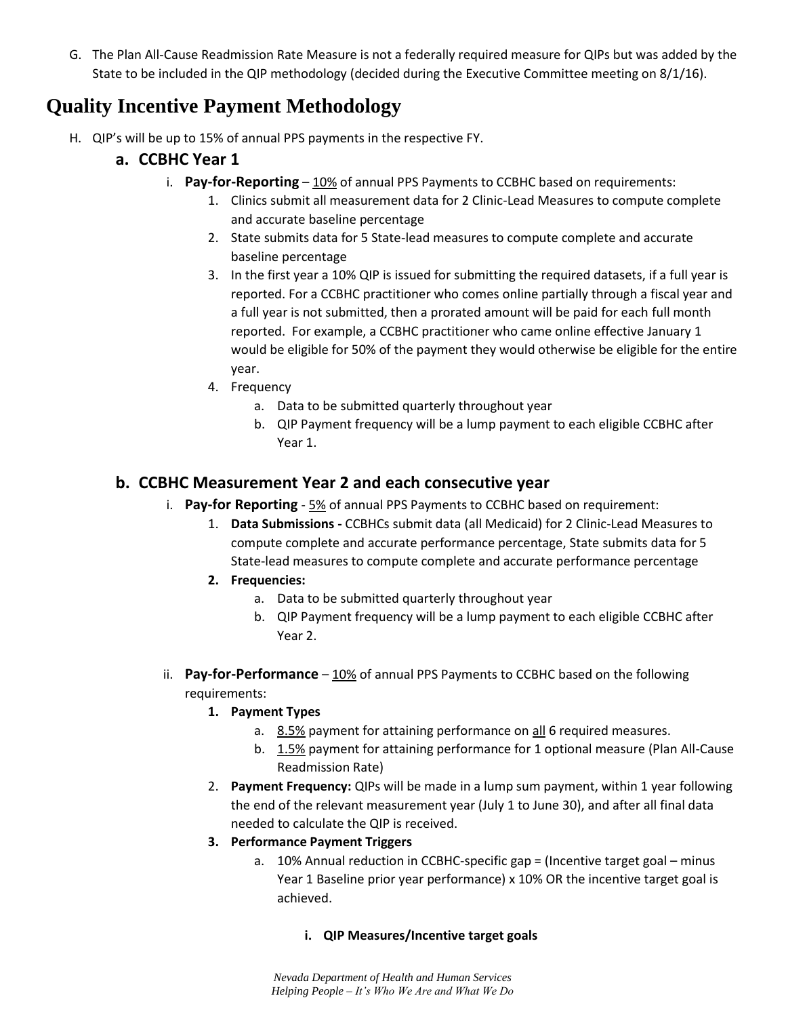G. The Plan All-Cause Readmission Rate Measure is not a federally required measure for QIPs but was added by the State to be included in the QIP methodology (decided during the Executive Committee meeting on 8/1/16).

## **Quality Incentive Payment Methodology**

H. QIP's will be up to 15% of annual PPS payments in the respective FY.

### **a. CCBHC Year 1**

- i. **Pay-for-Reporting** 10% of annual PPS Payments to CCBHC based on requirements:
	- 1. Clinics submit all measurement data for 2 Clinic-Lead Measures to compute complete and accurate baseline percentage
	- 2. State submits data for 5 State-lead measures to compute complete and accurate baseline percentage
	- 3. In the first year a 10% QIP is issued for submitting the required datasets, if a full year is reported. For a CCBHC practitioner who comes online partially through a fiscal year and a full year is not submitted, then a prorated amount will be paid for each full month reported. For example, a CCBHC practitioner who came online effective January 1 would be eligible for 50% of the payment they would otherwise be eligible for the entire year.
	- 4. Frequency
		- a. Data to be submitted quarterly throughout year
		- b. QIP Payment frequency will be a lump payment to each eligible CCBHC after Year 1.

### **b. CCBHC Measurement Year 2 and each consecutive year**

- i. **Pay-for Reporting** 5% of annual PPS Payments to CCBHC based on requirement:
	- 1. **Data Submissions -** CCBHCs submit data (all Medicaid) for 2 Clinic-Lead Measures to compute complete and accurate performance percentage, State submits data for 5 State-lead measures to compute complete and accurate performance percentage
	- **2. Frequencies:** 
		- a. Data to be submitted quarterly throughout year
		- b. QIP Payment frequency will be a lump payment to each eligible CCBHC after Year 2.
- ii. **Pay-for-Performance** 10% of annual PPS Payments to CCBHC based on the following requirements:
	- **1. Payment Types**
		- a. 8.5% payment for attaining performance on all 6 required measures.
		- b. 1.5% payment for attaining performance for 1 optional measure (Plan All-Cause Readmission Rate)
	- 2. **Payment Frequency:** QIPs will be made in a lump sum payment, within 1 year following the end of the relevant measurement year (July 1 to June 30), and after all final data needed to calculate the QIP is received.
	- **3. Performance Payment Triggers**
		- a. 10% Annual reduction in CCBHC-specific gap = (Incentive target goal minus Year 1 Baseline prior year performance) x 10% OR the incentive target goal is achieved.

#### **i. QIP Measures/Incentive target goals**

*Nevada Department of Health and Human Services Helping People – It's Who We Are and What We Do*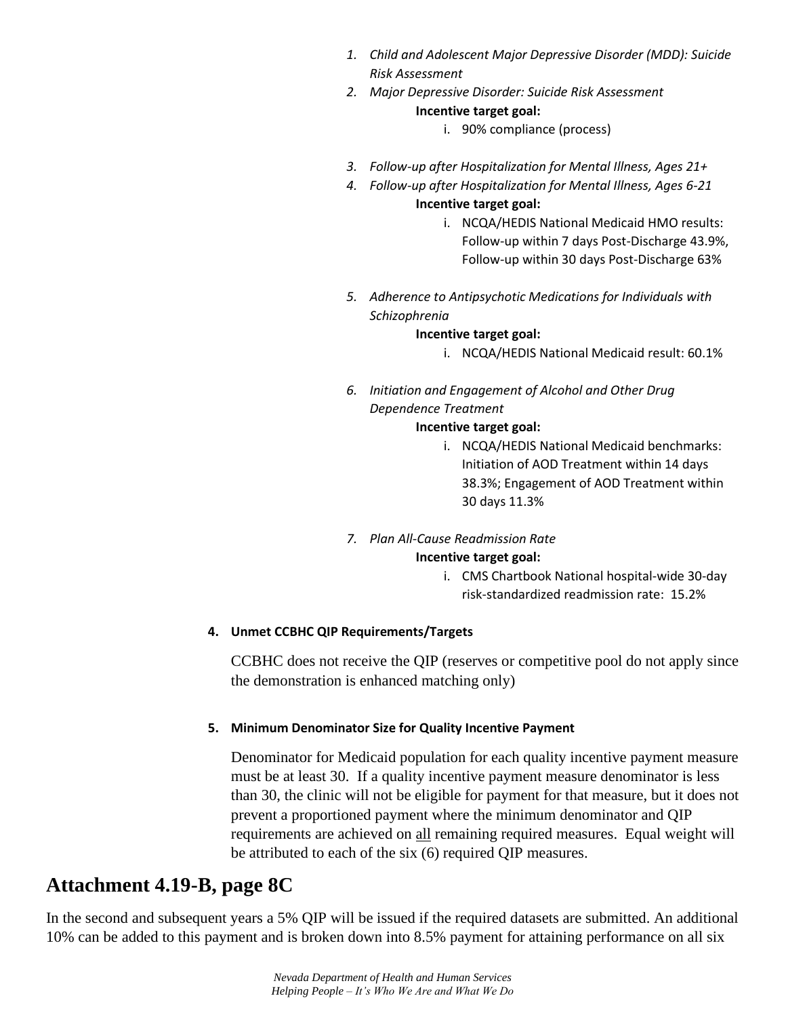- *1. Child and Adolescent Major Depressive Disorder (MDD): Suicide Risk Assessment*
- *2. Major Depressive Disorder: Suicide Risk Assessment* **Incentive target goal:** 
	- i. 90% compliance (process)
- *3. Follow-up after Hospitalization for Mental Illness, Ages 21+*
- *4. Follow-up after Hospitalization for Mental Illness, Ages 6-21*

#### **Incentive target goal:**

- i. NCQA/HEDIS National Medicaid HMO results: Follow-up within 7 days Post-Discharge 43.9%, Follow-up within 30 days Post-Discharge 63%
- *5. Adherence to Antipsychotic Medications for Individuals with Schizophrenia*

#### **Incentive target goal:**

- i. NCQA/HEDIS National Medicaid result: 60.1%
- *6. Initiation and Engagement of Alcohol and Other Drug Dependence Treatment*

#### **Incentive target goal:**

- i. NCQA/HEDIS National Medicaid benchmarks: Initiation of AOD Treatment within 14 days 38.3%; Engagement of AOD Treatment within 30 days 11.3%
- *7. Plan All-Cause Readmission Rate* **Incentive target goal:** 
	- i. CMS Chartbook National hospital-wide 30-day risk-standardized readmission rate: 15.2%

#### **4. Unmet CCBHC QIP Requirements/Targets**

CCBHC does not receive the QIP (reserves or competitive pool do not apply since the demonstration is enhanced matching only)

#### **5. Minimum Denominator Size for Quality Incentive Payment**

Denominator for Medicaid population for each quality incentive payment measure must be at least 30. If a quality incentive payment measure denominator is less than 30, the clinic will not be eligible for payment for that measure, but it does not prevent a proportioned payment where the minimum denominator and QIP requirements are achieved on all remaining required measures. Equal weight will be attributed to each of the six (6) required QIP measures.

## **Attachment 4.19-B, page 8C**

In the second and subsequent years a 5% QIP will be issued if the required datasets are submitted. An additional 10% can be added to this payment and is broken down into 8.5% payment for attaining performance on all six